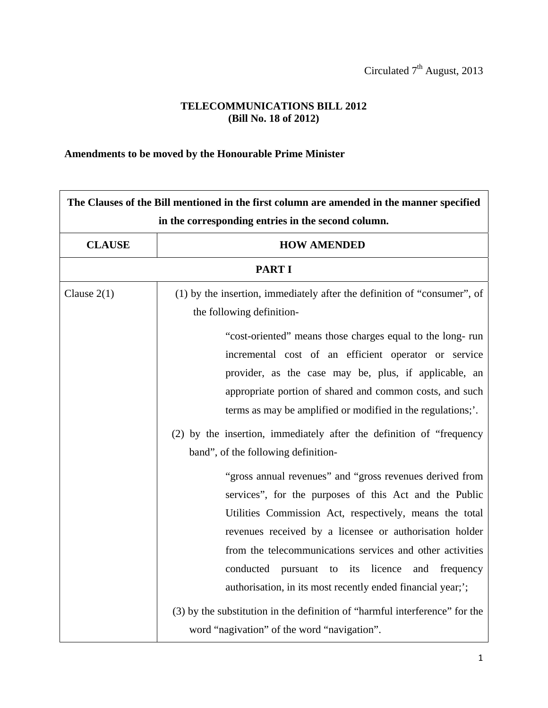## **TELECOMMUNICATIONS BILL 2012 (Bill No. 18 of 2012)**

## **Amendments to be moved by the Honourable Prime Minister**

| The Clauses of the Bill mentioned in the first column are amended in the manner specified |                                                                                                                                                                                                                                                                                                                                                                                                                                                                                                                                                                                                                                                                                |
|-------------------------------------------------------------------------------------------|--------------------------------------------------------------------------------------------------------------------------------------------------------------------------------------------------------------------------------------------------------------------------------------------------------------------------------------------------------------------------------------------------------------------------------------------------------------------------------------------------------------------------------------------------------------------------------------------------------------------------------------------------------------------------------|
|                                                                                           | in the corresponding entries in the second column.                                                                                                                                                                                                                                                                                                                                                                                                                                                                                                                                                                                                                             |
| <b>CLAUSE</b>                                                                             | <b>HOW AMENDED</b>                                                                                                                                                                                                                                                                                                                                                                                                                                                                                                                                                                                                                                                             |
|                                                                                           | <b>PART I</b>                                                                                                                                                                                                                                                                                                                                                                                                                                                                                                                                                                                                                                                                  |
| Clause $2(1)$                                                                             | (1) by the insertion, immediately after the definition of "consumer", of<br>the following definition-                                                                                                                                                                                                                                                                                                                                                                                                                                                                                                                                                                          |
|                                                                                           | "cost-oriented" means those charges equal to the long-run<br>incremental cost of an efficient operator or service<br>provider, as the case may be, plus, if applicable, an<br>appropriate portion of shared and common costs, and such<br>terms as may be amplified or modified in the regulations;'.                                                                                                                                                                                                                                                                                                                                                                          |
|                                                                                           | (2) by the insertion, immediately after the definition of "frequency"<br>band", of the following definition-<br>"gross annual revenues" and "gross revenues derived from<br>services", for the purposes of this Act and the Public<br>Utilities Commission Act, respectively, means the total<br>revenues received by a licensee or authorisation holder<br>from the telecommunications services and other activities<br>pursuant to its licence<br>conducted<br>and<br>frequency<br>authorisation, in its most recently ended financial year;';<br>(3) by the substitution in the definition of "harmful interference" for the<br>word "nagivation" of the word "navigation". |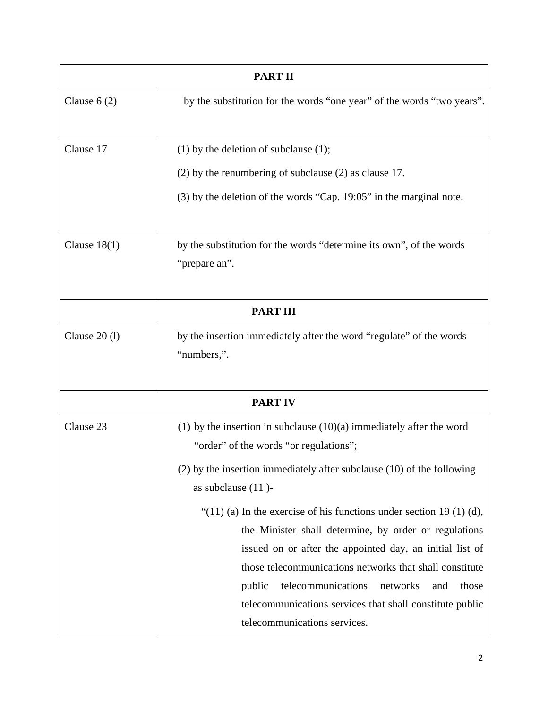| <b>PART II</b>                                                                                                       |  |
|----------------------------------------------------------------------------------------------------------------------|--|
| by the substitution for the words "one year" of the words "two years".                                               |  |
| $(1)$ by the deletion of subclause $(1)$ ;                                                                           |  |
| $(2)$ by the renumbering of subclause $(2)$ as clause 17.                                                            |  |
| $(3)$ by the deletion of the words "Cap. 19:05" in the marginal note.                                                |  |
| by the substitution for the words "determine its own", of the words<br>"prepare an".                                 |  |
| <b>PART III</b>                                                                                                      |  |
| by the insertion immediately after the word "regulate" of the words<br>"numbers,".                                   |  |
| <b>PART IV</b>                                                                                                       |  |
| $(1)$ by the insertion in subclause $(10)(a)$ immediately after the word<br>"order" of the words "or regulations";   |  |
| $(2)$ by the insertion immediately after subclause $(10)$ of the following<br>as subclause (11)-                     |  |
| "(11) (a) In the exercise of his functions under section 19 (1) (d),                                                 |  |
| the Minister shall determine, by order or regulations                                                                |  |
| issued on or after the appointed day, an initial list of                                                             |  |
| those telecommunications networks that shall constitute                                                              |  |
| telecommunications<br>networks<br>public<br>and<br>those<br>telecommunications services that shall constitute public |  |
| telecommunications services.                                                                                         |  |
|                                                                                                                      |  |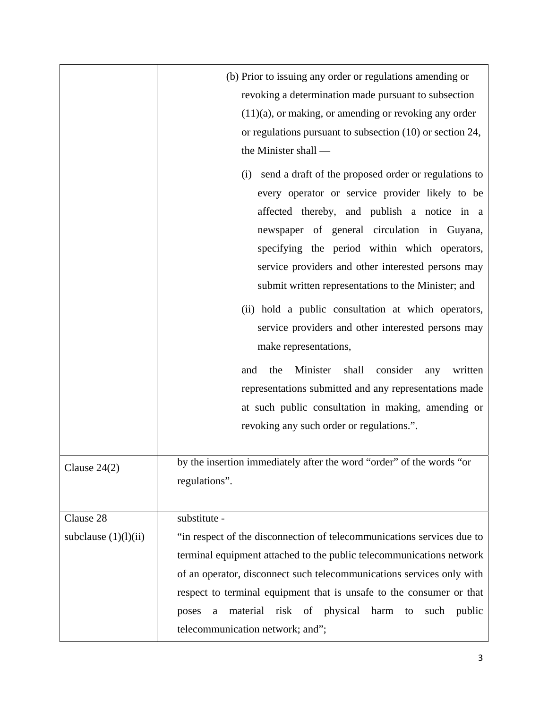|                        | (b) Prior to issuing any order or regulations amending or<br>revoking a determination made pursuant to subsection<br>$(11)(a)$ , or making, or amending or revoking any order<br>or regulations pursuant to subsection (10) or section 24,<br>the Minister shall —<br>send a draft of the proposed order or regulations to<br>(i)<br>every operator or service provider likely to be<br>affected thereby, and publish a notice in a<br>newspaper of general circulation in Guyana,<br>specifying the period within which operators,<br>service providers and other interested persons may<br>submit written representations to the Minister; and<br>(ii) hold a public consultation at which operators,<br>service providers and other interested persons may<br>make representations,<br>Minister<br>shall<br>consider<br>and<br>the<br>written<br>any<br>representations submitted and any representations made<br>at such public consultation in making, amending or<br>revoking any such order or regulations.". |
|------------------------|----------------------------------------------------------------------------------------------------------------------------------------------------------------------------------------------------------------------------------------------------------------------------------------------------------------------------------------------------------------------------------------------------------------------------------------------------------------------------------------------------------------------------------------------------------------------------------------------------------------------------------------------------------------------------------------------------------------------------------------------------------------------------------------------------------------------------------------------------------------------------------------------------------------------------------------------------------------------------------------------------------------------|
| Clause $24(2)$         | by the insertion immediately after the word "order" of the words "or<br>regulations".                                                                                                                                                                                                                                                                                                                                                                                                                                                                                                                                                                                                                                                                                                                                                                                                                                                                                                                                |
| Clause 28              | substitute -                                                                                                                                                                                                                                                                                                                                                                                                                                                                                                                                                                                                                                                                                                                                                                                                                                                                                                                                                                                                         |
| subclause $(1)(l)(ii)$ | "in respect of the disconnection of telecommunications services due to                                                                                                                                                                                                                                                                                                                                                                                                                                                                                                                                                                                                                                                                                                                                                                                                                                                                                                                                               |
|                        | terminal equipment attached to the public telecommunications network                                                                                                                                                                                                                                                                                                                                                                                                                                                                                                                                                                                                                                                                                                                                                                                                                                                                                                                                                 |
|                        | of an operator, disconnect such telecommunications services only with                                                                                                                                                                                                                                                                                                                                                                                                                                                                                                                                                                                                                                                                                                                                                                                                                                                                                                                                                |
|                        | respect to terminal equipment that is unsafe to the consumer or that                                                                                                                                                                                                                                                                                                                                                                                                                                                                                                                                                                                                                                                                                                                                                                                                                                                                                                                                                 |
|                        | risk of physical<br>harm<br>material<br>such<br>public<br>to<br>poses<br>a                                                                                                                                                                                                                                                                                                                                                                                                                                                                                                                                                                                                                                                                                                                                                                                                                                                                                                                                           |
|                        | telecommunication network; and";                                                                                                                                                                                                                                                                                                                                                                                                                                                                                                                                                                                                                                                                                                                                                                                                                                                                                                                                                                                     |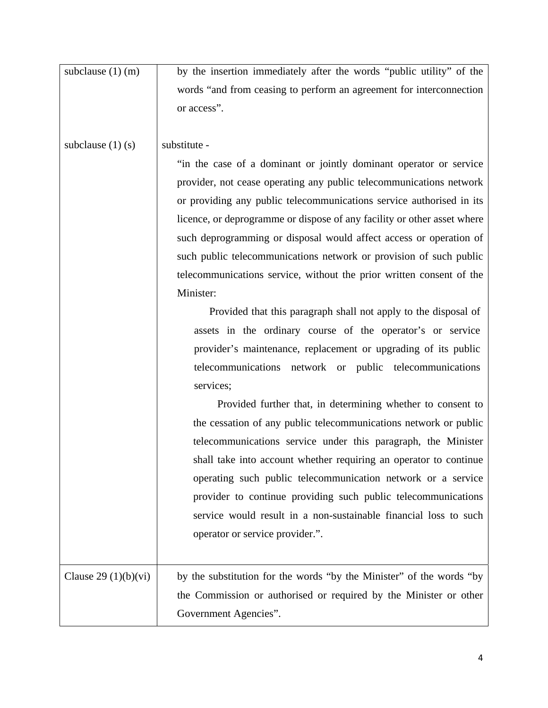| subclause $(1)$ (m)   | by the insertion immediately after the words "public utility" of the    |
|-----------------------|-------------------------------------------------------------------------|
|                       | words "and from ceasing to perform an agreement for interconnection     |
|                       | or access".                                                             |
|                       |                                                                         |
| subclause $(1)$ (s)   | substitute -                                                            |
|                       | "in the case of a dominant or jointly dominant operator or service      |
|                       | provider, not cease operating any public telecommunications network     |
|                       | or providing any public telecommunications service authorised in its    |
|                       | licence, or deprogramme or dispose of any facility or other asset where |
|                       | such deprogramming or disposal would affect access or operation of      |
|                       | such public telecommunications network or provision of such public      |
|                       | telecommunications service, without the prior written consent of the    |
|                       | Minister:                                                               |
|                       | Provided that this paragraph shall not apply to the disposal of         |
|                       | assets in the ordinary course of the operator's or service              |
|                       | provider's maintenance, replacement or upgrading of its public          |
|                       | telecommunications network or public telecommunications                 |
|                       | services;                                                               |
|                       | Provided further that, in determining whether to consent to             |
|                       | the cessation of any public telecommunications network or public        |
|                       | telecommunications service under this paragraph, the Minister           |
|                       | shall take into account whether requiring an operator to continue       |
|                       | operating such public telecommunication network or a service            |
|                       | provider to continue providing such public telecommunications           |
|                       | service would result in a non-sustainable financial loss to such        |
|                       | operator or service provider.".                                         |
|                       |                                                                         |
| Clause $29(1)(b)(vi)$ | by the substitution for the words "by the Minister" of the words "by    |
|                       | the Commission or authorised or required by the Minister or other       |
|                       | Government Agencies".                                                   |
|                       |                                                                         |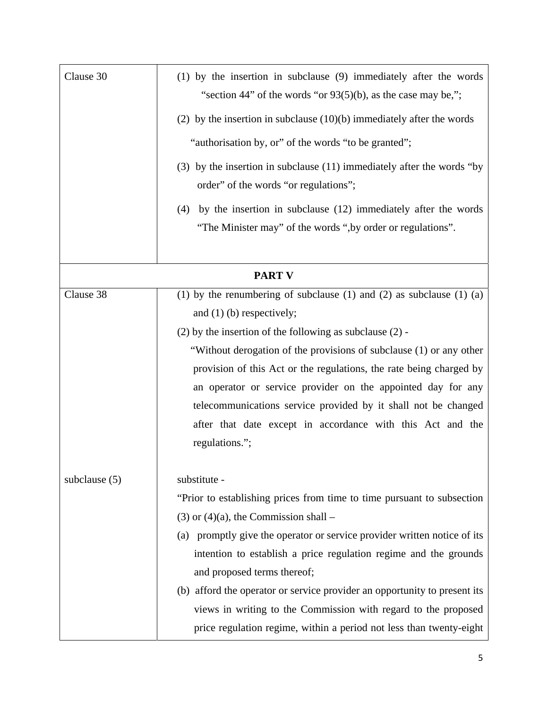| Clause 30       | (1) by the insertion in subclause (9) immediately after the words<br>"section 44" of the words "or $93(5)(b)$ , as the case may be,";<br>(2) by the insertion in subclause $(10)(b)$ immediately after the words<br>"authorisation by, or" of the words "to be granted";<br>(3) by the insertion in subclause (11) immediately after the words "by                                                                                                                                                                                        |
|-----------------|-------------------------------------------------------------------------------------------------------------------------------------------------------------------------------------------------------------------------------------------------------------------------------------------------------------------------------------------------------------------------------------------------------------------------------------------------------------------------------------------------------------------------------------------|
|                 | order" of the words "or regulations";                                                                                                                                                                                                                                                                                                                                                                                                                                                                                                     |
|                 | by the insertion in subclause (12) immediately after the words<br>(4)<br>"The Minister may" of the words ", by order or regulations".                                                                                                                                                                                                                                                                                                                                                                                                     |
|                 | <b>PART V</b>                                                                                                                                                                                                                                                                                                                                                                                                                                                                                                                             |
| Clause 38       | (1) by the renumbering of subclause (1) and (2) as subclause (1) (a)<br>and $(1)$ (b) respectively;<br>$(2)$ by the insertion of the following as subclause $(2)$ -<br>"Without derogation of the provisions of subclause (1) or any other<br>provision of this Act or the regulations, the rate being charged by<br>an operator or service provider on the appointed day for any<br>telecommunications service provided by it shall not be changed<br>after that date except in accordance with this Act and the<br>regulations.";       |
| subclause $(5)$ | substitute -<br>"Prior to establishing prices from time to time pursuant to subsection<br>$(3)$ or $(4)(a)$ , the Commission shall –<br>(a) promptly give the operator or service provider written notice of its<br>intention to establish a price regulation regime and the grounds<br>and proposed terms thereof;<br>(b) afford the operator or service provider an opportunity to present its<br>views in writing to the Commission with regard to the proposed<br>price regulation regime, within a period not less than twenty-eight |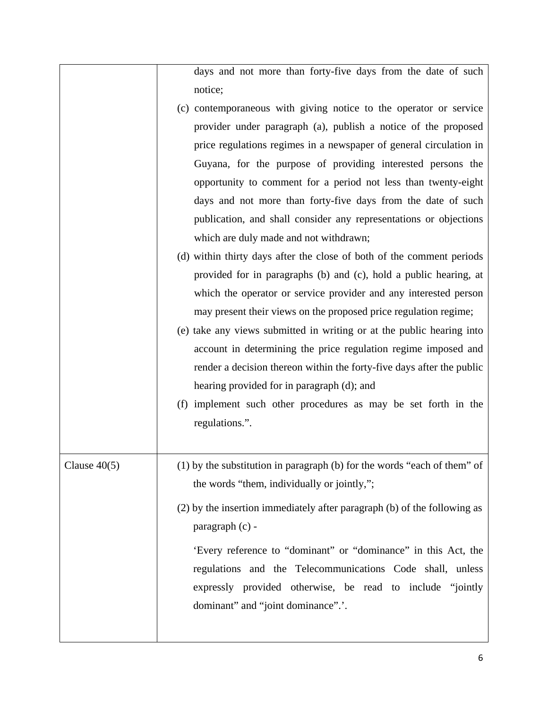days and not more than forty-five days from the date of such notice;

- (c) contemporaneous with giving notice to the operator or service provider under paragraph (a), publish a notice of the proposed price regulations regimes in a newspaper of general circulation in Guyana, for the purpose of providing interested persons the opportunity to comment for a period not less than twenty-eight days and not more than forty-five days from the date of such publication, and shall consider any representations or objections which are duly made and not withdrawn;
- (d) within thirty days after the close of both of the comment periods provided for in paragraphs (b) and (c), hold a public hearing, at which the operator or service provider and any interested person may present their views on the proposed price regulation regime;
- (e) take any views submitted in writing or at the public hearing into account in determining the price regulation regime imposed and render a decision thereon within the forty-five days after the public hearing provided for in paragraph (d); and
- (f) implement such other procedures as may be set forth in the regulations.".

Clause  $40(5)$  (1) by the substitution in paragraph (b) for the words "each of them" of the words "them, individually or jointly,"; (2) by the insertion immediately after paragraph (b) of the following as paragraph (c) - 'Every reference to "dominant" or "dominance" in this Act, the regulations and the Telecommunications Code shall, unless expressly provided otherwise, be read to include "jointly dominant" and "joint dominance".'.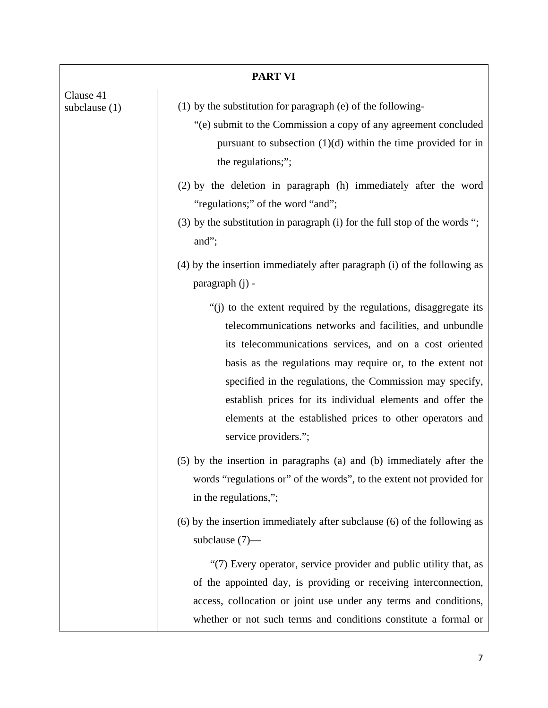| <b>PART VI</b>               |                                                                                                                                                                                                                                                                                                                                                                                                                                                                       |
|------------------------------|-----------------------------------------------------------------------------------------------------------------------------------------------------------------------------------------------------------------------------------------------------------------------------------------------------------------------------------------------------------------------------------------------------------------------------------------------------------------------|
| Clause 41<br>subclause $(1)$ | (1) by the substitution for paragraph (e) of the following-<br>"(e) submit to the Commission a copy of any agreement concluded<br>pursuant to subsection $(1)(d)$ within the time provided for in<br>the regulations;";                                                                                                                                                                                                                                               |
|                              | (2) by the deletion in paragraph (h) immediately after the word<br>"regulations;" of the word "and";<br>$(3)$ by the substitution in paragraph (i) for the full stop of the words ";<br>and";<br>(4) by the insertion immediately after paragraph (i) of the following as                                                                                                                                                                                             |
|                              | paragraph (j) -                                                                                                                                                                                                                                                                                                                                                                                                                                                       |
|                              | "(i) to the extent required by the regulations, disaggregate its<br>telecommunications networks and facilities, and unbundle<br>its telecommunications services, and on a cost oriented<br>basis as the regulations may require or, to the extent not<br>specified in the regulations, the Commission may specify,<br>establish prices for its individual elements and offer the<br>elements at the established prices to other operators and<br>service providers."; |
|                              | (5) by the insertion in paragraphs (a) and (b) immediately after the<br>words "regulations or" of the words", to the extent not provided for<br>in the regulations,";                                                                                                                                                                                                                                                                                                 |
|                              | $(6)$ by the insertion immediately after subclause $(6)$ of the following as<br>subclause $(7)$ —                                                                                                                                                                                                                                                                                                                                                                     |
|                              | "(7) Every operator, service provider and public utility that, as<br>of the appointed day, is providing or receiving interconnection,<br>access, collocation or joint use under any terms and conditions,<br>whether or not such terms and conditions constitute a formal or                                                                                                                                                                                          |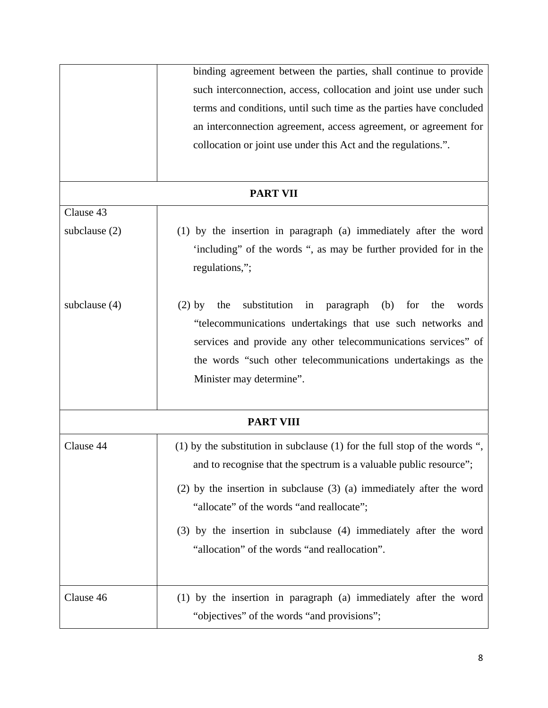|                  | binding agreement between the parties, shall continue to provide                 |
|------------------|----------------------------------------------------------------------------------|
|                  | such interconnection, access, collocation and joint use under such               |
|                  | terms and conditions, until such time as the parties have concluded              |
|                  | an interconnection agreement, access agreement, or agreement for                 |
|                  | collocation or joint use under this Act and the regulations.".                   |
|                  |                                                                                  |
|                  | <b>PART VII</b>                                                                  |
| Clause 43        |                                                                                  |
| subclause $(2)$  | (1) by the insertion in paragraph (a) immediately after the word                 |
|                  | 'including" of the words ", as may be further provided for in the                |
|                  | regulations,";                                                                   |
| subclause $(4)$  | substitution<br>paragraph<br>(b)<br>for<br>the<br>words<br>$(2)$ by<br>the<br>in |
|                  | "telecommunications undertakings that use such networks and                      |
|                  | services and provide any other telecommunications services" of                   |
|                  | the words "such other telecommunications undertakings as the                     |
|                  | Minister may determine".                                                         |
|                  |                                                                                  |
| <b>PART VIII</b> |                                                                                  |
| Clause 44        | (1) by the substitution in subclause (1) for the full stop of the words ",       |
|                  | and to recognise that the spectrum is a valuable public resource";               |
|                  | $(2)$ by the insertion in subclause $(3)$ $(a)$ immediately after the word       |
|                  | "allocate" of the words "and reallocate";                                        |
|                  | (3) by the insertion in subclause (4) immediately after the word                 |
|                  | "allocation" of the words "and reallocation".                                    |
|                  |                                                                                  |
| Clause 46        | (1) by the insertion in paragraph (a) immediately after the word                 |
|                  | "objectives" of the words "and provisions";                                      |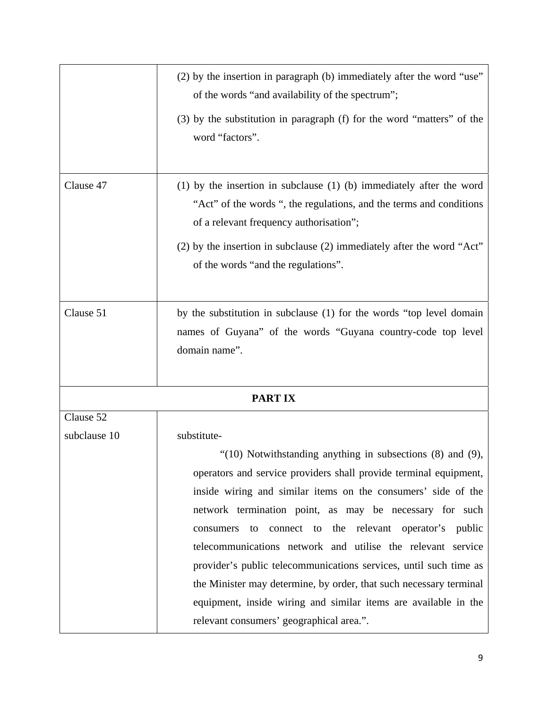|              | (2) by the insertion in paragraph (b) immediately after the word "use"<br>of the words "and availability of the spectrum";                                                                   |
|--------------|----------------------------------------------------------------------------------------------------------------------------------------------------------------------------------------------|
|              | (3) by the substitution in paragraph (f) for the word "matters" of the<br>word "factors".                                                                                                    |
| Clause 47    | $(1)$ by the insertion in subclause $(1)$ $(b)$ immediately after the word<br>"Act" of the words ", the regulations, and the terms and conditions<br>of a relevant frequency authorisation"; |
|              | (2) by the insertion in subclause (2) immediately after the word "Act"<br>of the words "and the regulations".                                                                                |
| Clause 51    | by the substitution in subclause (1) for the words "top level domain<br>names of Guyana" of the words "Guyana country-code top level<br>domain name".                                        |
|              | <b>PARTIX</b>                                                                                                                                                                                |
| Clause 52    |                                                                                                                                                                                              |
| subclause 10 | substitute-                                                                                                                                                                                  |
|              | " $(10)$ Notwithstanding anything in subsections $(8)$ and $(9)$ ,                                                                                                                           |
|              | operators and service providers shall provide terminal equipment,                                                                                                                            |
|              | inside wiring and similar items on the consumers' side of the                                                                                                                                |
|              | network termination point, as may be necessary for such                                                                                                                                      |
|              | the relevant operator's public<br>connect to<br>consumers<br>to                                                                                                                              |
|              | telecommunications network and utilise the relevant service                                                                                                                                  |
|              | provider's public telecommunications services, until such time as                                                                                                                            |
|              | the Minister may determine, by order, that such necessary terminal                                                                                                                           |
|              | equipment, inside wiring and similar items are available in the                                                                                                                              |
|              | relevant consumers' geographical area.".                                                                                                                                                     |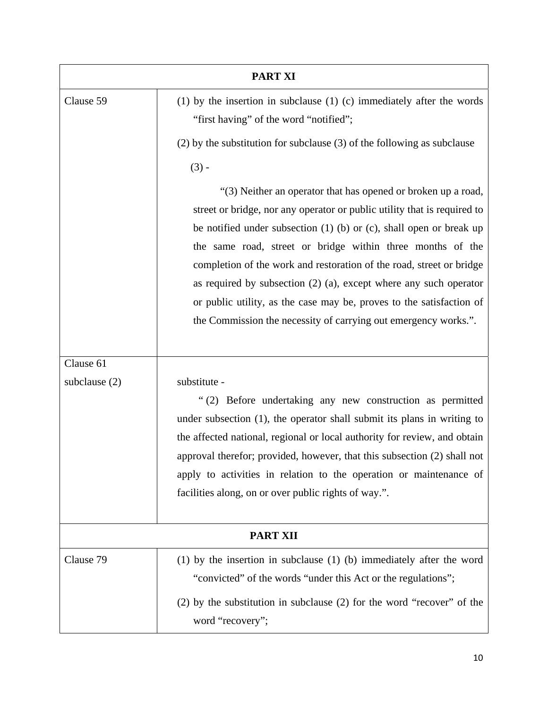| <b>PART XI</b>  |                                                                                                                                                                                                                                                                                                                                                                                                                                                                                                                                                                                  |
|-----------------|----------------------------------------------------------------------------------------------------------------------------------------------------------------------------------------------------------------------------------------------------------------------------------------------------------------------------------------------------------------------------------------------------------------------------------------------------------------------------------------------------------------------------------------------------------------------------------|
| Clause 59       | $(1)$ by the insertion in subclause $(1)$ $(c)$ immediately after the words<br>"first having" of the word "notified";                                                                                                                                                                                                                                                                                                                                                                                                                                                            |
|                 | $(2)$ by the substitution for subclause $(3)$ of the following as subclause                                                                                                                                                                                                                                                                                                                                                                                                                                                                                                      |
|                 | $(3) -$                                                                                                                                                                                                                                                                                                                                                                                                                                                                                                                                                                          |
|                 | "(3) Neither an operator that has opened or broken up a road,<br>street or bridge, nor any operator or public utility that is required to<br>be notified under subsection $(1)$ (b) or $(c)$ , shall open or break up<br>the same road, street or bridge within three months of the<br>completion of the work and restoration of the road, street or bridge<br>as required by subsection $(2)$ $(a)$ , except where any such operator<br>or public utility, as the case may be, proves to the satisfaction of<br>the Commission the necessity of carrying out emergency works.". |
| Clause 61       |                                                                                                                                                                                                                                                                                                                                                                                                                                                                                                                                                                                  |
| subclause $(2)$ | substitute -<br>"(2) Before undertaking any new construction as permitted<br>under subsection (1), the operator shall submit its plans in writing to<br>the affected national, regional or local authority for review, and obtain<br>approval therefor; provided, however, that this subsection (2) shall not<br>apply to activities in relation to the operation or maintenance of<br>facilities along, on or over public rights of way.".                                                                                                                                      |
| <b>PART XII</b> |                                                                                                                                                                                                                                                                                                                                                                                                                                                                                                                                                                                  |
| Clause 79       | $(1)$ by the insertion in subclause $(1)$ $(b)$ immediately after the word<br>"convicted" of the words "under this Act or the regulations";<br>$(2)$ by the substitution in subclause $(2)$ for the word "recover" of the                                                                                                                                                                                                                                                                                                                                                        |
|                 | word "recovery";                                                                                                                                                                                                                                                                                                                                                                                                                                                                                                                                                                 |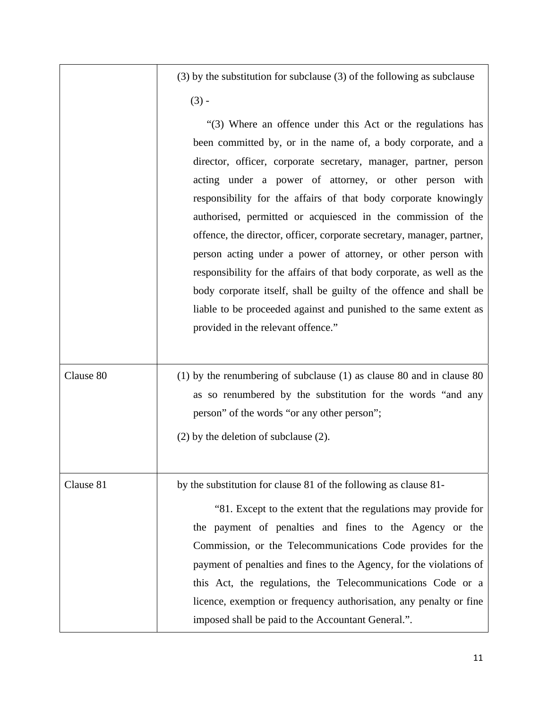$(3)$  by the substitution for subclause  $(3)$  of the following as subclause  $(3) -$ 

|           | "(3) Where an offence under this Act or the regulations has<br>been committed by, or in the name of, a body corporate, and a<br>director, officer, corporate secretary, manager, partner, person<br>acting under a power of attorney, or other person with<br>responsibility for the affairs of that body corporate knowingly<br>authorised, permitted or acquiesced in the commission of the<br>offence, the director, officer, corporate secretary, manager, partner,<br>person acting under a power of attorney, or other person with<br>responsibility for the affairs of that body corporate, as well as the<br>body corporate itself, shall be guilty of the offence and shall be<br>liable to be proceeded against and punished to the same extent as<br>provided in the relevant offence." |
|-----------|----------------------------------------------------------------------------------------------------------------------------------------------------------------------------------------------------------------------------------------------------------------------------------------------------------------------------------------------------------------------------------------------------------------------------------------------------------------------------------------------------------------------------------------------------------------------------------------------------------------------------------------------------------------------------------------------------------------------------------------------------------------------------------------------------|
| Clause 80 | (1) by the renumbering of subclause $(1)$ as clause 80 and in clause 80<br>as so renumbered by the substitution for the words "and any<br>person" of the words "or any other person";<br>$(2)$ by the deletion of subclause $(2)$ .                                                                                                                                                                                                                                                                                                                                                                                                                                                                                                                                                                |
| Clause 81 | by the substitution for clause 81 of the following as clause 81-<br>"81. Except to the extent that the regulations may provide for<br>the payment of penalties and fines to the Agency or the<br>Commission, or the Telecommunications Code provides for the<br>payment of penalties and fines to the Agency, for the violations of<br>this Act, the regulations, the Telecommunications Code or a<br>licence, exemption or frequency authorisation, any penalty or fine<br>imposed shall be paid to the Accountant General.".                                                                                                                                                                                                                                                                     |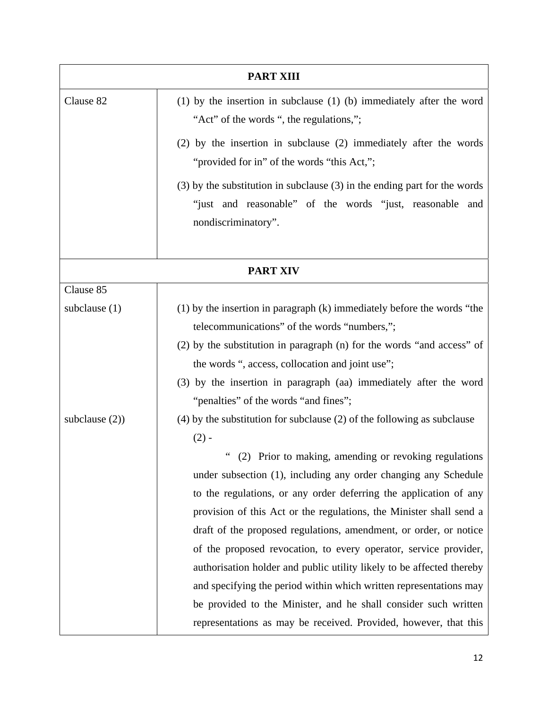|                   | <b>PART XIII</b>                                                                                                                                                 |
|-------------------|------------------------------------------------------------------------------------------------------------------------------------------------------------------|
| Clause 82         | $(1)$ by the insertion in subclause $(1)$ $(b)$ immediately after the word<br>"Act" of the words ", the regulations,";                                           |
|                   | (2) by the insertion in subclause (2) immediately after the words<br>"provided for in" of the words "this Act,";                                                 |
|                   | $(3)$ by the substitution in subclause $(3)$ in the ending part for the words<br>"just and reasonable" of the words "just, reasonable and<br>nondiscriminatory". |
|                   | <b>PART XIV</b>                                                                                                                                                  |
| Clause 85         |                                                                                                                                                                  |
| subclause $(1)$   | $(1)$ by the insertion in paragraph $(k)$ immediately before the words "the                                                                                      |
|                   | telecommunications" of the words "numbers,";                                                                                                                     |
|                   | (2) by the substitution in paragraph (n) for the words "and access" of                                                                                           |
|                   | the words ", access, collocation and joint use";                                                                                                                 |
|                   | (3) by the insertion in paragraph (aa) immediately after the word                                                                                                |
|                   | "penalties" of the words "and fines";                                                                                                                            |
| subclause $(2)$ ) | $(4)$ by the substitution for subclause $(2)$ of the following as subclause<br>$(2) -$                                                                           |
|                   | (2) Prior to making, amending or revoking regulations                                                                                                            |
|                   | under subsection (1), including any order changing any Schedule                                                                                                  |
|                   | to the regulations, or any order deferring the application of any                                                                                                |
|                   | provision of this Act or the regulations, the Minister shall send a                                                                                              |
|                   | draft of the proposed regulations, amendment, or order, or notice                                                                                                |
|                   | of the proposed revocation, to every operator, service provider,                                                                                                 |
|                   | authorisation holder and public utility likely to be affected thereby                                                                                            |
|                   | and specifying the period within which written representations may                                                                                               |
|                   | be provided to the Minister, and he shall consider such written                                                                                                  |
|                   | representations as may be received. Provided, however, that this                                                                                                 |